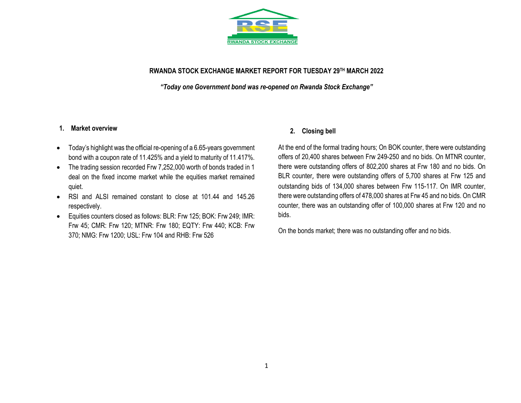

### **RWANDA STOCK EXCHANGE MARKET REPORT FOR TUESDAY 29 TH MARCH 2022**

*"Today one Government bond was re-opened on Rwanda Stock Exchange"*

### **1. Market overview**

- Today's highlight was the official re-opening of a 6.65-years government bond with a coupon rate of 11.425% and a yield to maturity of 11.417%.
- The trading session recorded Frw 7,252,000 worth of bonds traded in 1 deal on the fixed income market while the equities market remained quiet.
- RSI and ALSI remained constant to close at 101.44 and 145.26 respectively.
- Equities counters closed as follows: BLR: Frw 125; BOK: Frw 249; IMR: Frw 45; CMR: Frw 120; MTNR: Frw 180; EQTY: Frw 440; KCB: Frw 370; NMG: Frw 1200; USL: Frw 104 and RHB: Frw 526

#### **2. Closing bell**

At the end of the formal trading hours; On BOK counter, there were outstanding offers of 20,400 shares between Frw 249-250 and no bids. On MTNR counter, there were outstanding offers of 802,200 shares at Frw 180 and no bids. On BLR counter, there were outstanding offers of 5,700 shares at Frw 125 and outstanding bids of 134,000 shares between Frw 115-117. On IMR counter, there were outstanding offers of 478,000 shares at Frw 45 and no bids. On CMR counter, there was an outstanding offer of 100,000 shares at Frw 120 and no bids.

On the bonds market; there was no outstanding offer and no bids.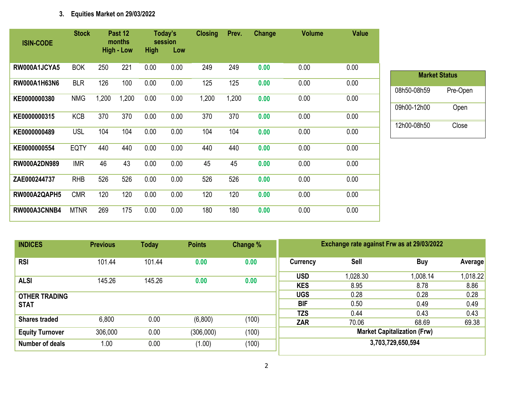## **3. Equities Market on 29/03/2022**

| <b>ISIN-CODE</b>    | <b>Stock</b> |       | Past 12<br>months | Today's<br>session |      | <b>Closing</b> | Prev. | Change | <b>Volume</b> | <b>Value</b> |
|---------------------|--------------|-------|-------------------|--------------------|------|----------------|-------|--------|---------------|--------------|
|                     |              |       | <b>High - Low</b> | <b>High</b>        | Low  |                |       |        |               |              |
| RW000A1JCYA5        | <b>BOK</b>   | 250   | 221               | 0.00               | 0.00 | 249            | 249   | 0.00   | 0.00          | 0.00         |
| RW000A1H63N6        | <b>BLR</b>   | 126   | 100               | 0.00               | 0.00 | 125            | 125   | 0.00   | 0.00          | 0.00         |
| KE0000000380        | <b>NMG</b>   | 1,200 | 1,200             | 0.00               | 0.00 | 1,200          | 1,200 | 0.00   | 0.00          | 0.00         |
| KE0000000315        | <b>KCB</b>   | 370   | 370               | 0.00               | 0.00 | 370            | 370   | 0.00   | 0.00          | 0.00         |
| KE0000000489        | <b>USL</b>   | 104   | 104               | 0.00               | 0.00 | 104            | 104   | 0.00   | 0.00          | 0.00         |
| KE0000000554        | <b>EQTY</b>  | 440   | 440               | 0.00               | 0.00 | 440            | 440   | 0.00   | 0.00          | 0.00         |
| <b>RW000A2DN989</b> | <b>IMR</b>   | 46    | 43                | 0.00               | 0.00 | 45             | 45    | 0.00   | 0.00          | 0.00         |
| ZAE000244737        | <b>RHB</b>   | 526   | 526               | 0.00               | 0.00 | 526            | 526   | 0.00   | 0.00          | 0.00         |
| RW000A2QAPH5        | <b>CMR</b>   | 120   | 120               | 0.00               | 0.00 | 120            | 120   | 0.00   | 0.00          | 0.00         |
| RW000A3CNNB4        | <b>MTNR</b>  | 269   | 175               | 0.00               | 0.00 | 180            | 180   | 0.00   | 0.00          | 0.00         |

| <b>Market Status</b> |          |  |  |  |  |  |  |  |  |
|----------------------|----------|--|--|--|--|--|--|--|--|
| 08h50-08h59          | Pre-Open |  |  |  |  |  |  |  |  |
| 09h00-12h00          | Open     |  |  |  |  |  |  |  |  |
| 12h00-08h50          | Close    |  |  |  |  |  |  |  |  |

| <b>INDICES</b>         | <b>Previous</b> | <b>Today</b> | <b>Points</b> | Change % | Exchange rate against Frw as at 29/03/2022 |             |            |          |  |  |
|------------------------|-----------------|--------------|---------------|----------|--------------------------------------------|-------------|------------|----------|--|--|
| <b>RSI</b>             | 101.44          | 101.44       | 0.00          | 0.00     | Currency                                   | <b>Sell</b> | <b>Buy</b> | Average  |  |  |
| <b>ALSI</b>            | 145.26          | 145.26       | 0.00          | 0.00     | <b>USD</b>                                 | 0.028.30    | 1,008.14   | 1,018.22 |  |  |
|                        |                 |              |               |          | <b>KES</b>                                 | 8.95        | 8.78       | 8.86     |  |  |
| <b>OTHER TRADING</b>   |                 |              |               |          | <b>UGS</b>                                 | 0.28        | 0.28       | 0.28     |  |  |
| <b>STAT</b>            |                 |              |               |          | <b>BIF</b>                                 | 0.50        | 0.49       | 0.49     |  |  |
|                        |                 |              |               |          | <b>TZS</b>                                 | 0.44        | 0.43       | 0.43     |  |  |
| <b>Shares traded</b>   | 6,800           | 0.00         | (6,800)       | (100)    | <b>ZAR</b>                                 | 70.06       | 68.69      | 69.38    |  |  |
| <b>Equity Turnover</b> | 306,000         | 0.00         | (306,000)     | (100)    | <b>Market Capitalization (Frw)</b>         |             |            |          |  |  |
| <b>Number of deals</b> | 1.00            | 0.00         | (1.00)        | (100)    | 3,703,729,650,594                          |             |            |          |  |  |
|                        |                 |              |               |          |                                            |             |            |          |  |  |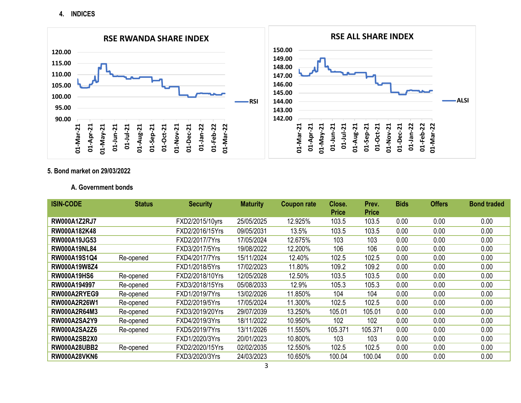

## **5. Bond market on 29/03/2022**

## **A. Government bonds**

| <b>ISIN-CODE</b>    | <b>Status</b> | <b>Security</b> | <b>Maturity</b> | <b>Coupon rate</b> | Close.       | Prev.        | <b>Bids</b> | <b>Offers</b> | <b>Bond traded</b> |
|---------------------|---------------|-----------------|-----------------|--------------------|--------------|--------------|-------------|---------------|--------------------|
|                     |               |                 |                 |                    | <b>Price</b> | <b>Price</b> |             |               |                    |
| <b>RW000A1Z2RJ7</b> |               | FXD2/2015/10yrs | 25/05/2025      | 12.925%            | 103.5        | 103.5        | 0.00        | 0.00          | 0.00               |
| RW000A182K48        |               | FXD2/2016/15Yrs | 09/05/2031      | 13.5%              | 103.5        | 103.5        | 0.00        | 0.00          | 0.00               |
| RW000A19JG53        |               | FXD2/2017/7Yrs  | 17/05/2024      | 12.675%            | 103          | 103          | 0.00        | 0.00          | 0.00               |
| <b>RW000A19NL84</b> |               | FXD3/2017/5Yrs  | 19/08/2022      | 12.200%            | 106          | 106          | 0.00        | 0.00          | 0.00               |
| RW000A19S1Q4        | Re-opened     | FXD4/2017/7Yrs  | 15/11/2024      | 12.40%             | 102.5        | 102.5        | 0.00        | 0.00          | 0.00               |
| RW000A19W8Z4        |               | FXD1/2018/5Yrs  | 17/02/2023      | 11.80%             | 109.2        | 109.2        | 0.00        | 0.00          | 0.00               |
| <b>RW000A19HS6</b>  | Re-opened     | FXD2/2018/10Yrs | 12/05/2028      | 12.50%             | 103.5        | 103.5        | 0.00        | 0.00          | 0.00               |
| RW000A194997        | Re-opened     | FXD3/2018/15Yrs | 05/08/2033      | 12.9%              | 105.3        | 105.3        | 0.00        | 0.00          | 0.00               |
| RW000A2RYEG9        | Re-opened     | FXD1/2019/7Yrs  | 13/02/2026      | 11.850%            | 104          | 104          | 0.00        | 0.00          | 0.00               |
| RW000A2R26W1        | Re-opened     | FXD2/2019/5Yrs  | 17/05/2024      | 11.300%            | 102.5        | 102.5        | 0.00        | 0.00          | 0.00               |
| RW000A2R64M3        | Re-opened     | FXD3/2019/20Yrs | 29/07/2039      | 13.250%            | 105.01       | 105.01       | 0.00        | 0.00          | 0.00               |
| <b>RW000A2SA2Y9</b> | Re-opened     | FXD4/2019/3Yrs  | 18/11/2022      | 10.950%            | 102          | 102          | 0.00        | 0.00          | 0.00               |
| <b>RW000A2SA2Z6</b> | Re-opened     | FXD5/2019/7Yrs  | 13/11/2026      | 11.550%            | 105.371      | 105.371      | 0.00        | 0.00          | 0.00               |
| <b>RW000A2SB2X0</b> |               | FXD1/2020/3Yrs  | 20/01/2023      | 10.800%            | 103          | 103          | 0.00        | 0.00          | 0.00               |
| <b>RW000A28UBB2</b> | Re-opened     | FXD2/2020/15Yrs | 02/02/2035      | 12.550%            | 102.5        | 102.5        | 0.00        | 0.00          | 0.00               |
| <b>RW000A28VKN6</b> |               | FXD3/2020/3Yrs  | 24/03/2023      | 10.650%            | 100.04       | 100.04       | 0.00        | 0.00          | 0.00               |